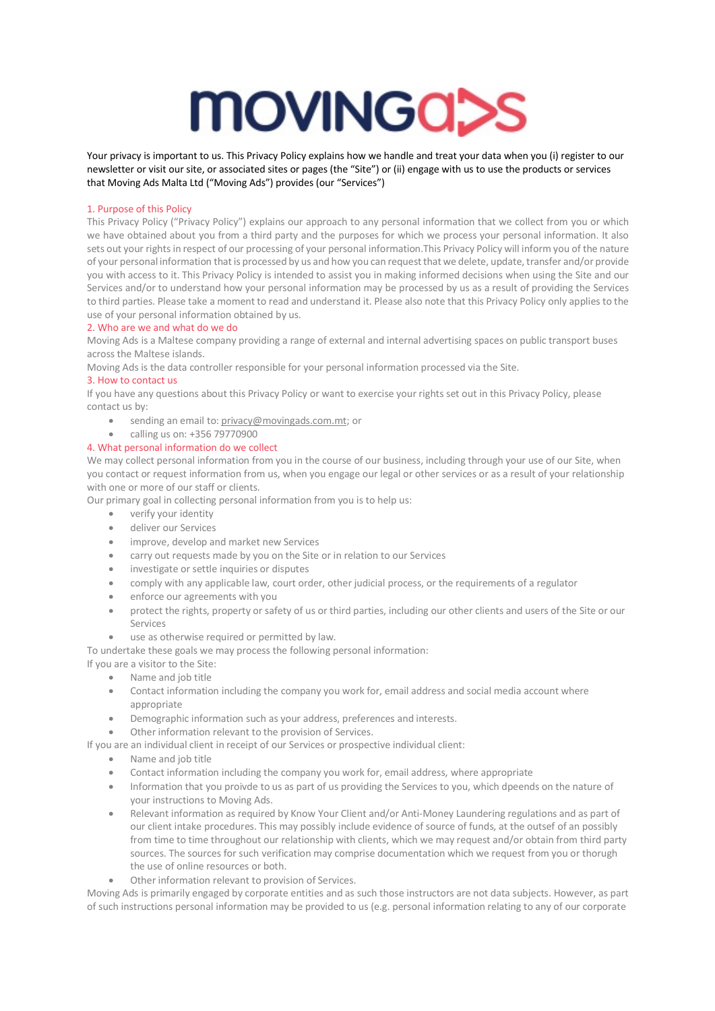

Your privacy is important to us. This Privacy Policy explains how we handle and treat your data when you (i) register to our newsletter or visit our site, or associated sites or pages (the "Site") or (ii) engage with us to use the products or services that Moving Ads Malta Ltd ("Moving Ads") provides (our "Services")

## 1. Purpose of this Policy

This Privacy Policy ("Privacy Policy") explains our approach to any personal information that we collect from you or which we have obtained about you from a third party and the purposes for which we process your personal information. It also sets out your rights in respect of our processing of your personal information.This Privacy Policy will inform you of the nature of your personal information thatis processed by us and how you can requestthat we delete, update, transfer and/or provide you with access to it. This Privacy Policy is intended to assist you in making informed decisions when using the Site and our Services and/or to understand how your personal information may be processed by us as a result of providing the Services to third parties. Please take a moment to read and understand it. Please also note that this Privacy Policy only applies to the use of your personal information obtained by us.

#### 2. Who are we and what do we do

Moving Ads is a Maltese company providing a range of external and internal advertising spaces on public transport buses across the Maltese islands.

Moving Ads is the data controller responsible for your personal information processed via the Site.

#### 3. How to contact us

If you have any questions about this Privacy Policy or want to exercise your rights set out in this Privacy Policy, please contact us by:

- sending an email to: privacy@movingads.com.mt; or
- calling us on: +356 79770900

## 4. What personal information do we collect

We may collect personal information from you in the course of our business, including through your use of our Site, when you contact or request information from us, when you engage our legal or other services or as a result of your relationship with one or more of our staff or clients.

Our primary goal in collecting personal information from you is to help us:

- verify your identity
- deliver our Services
- improve, develop and market new Services
- carry out requests made by you on the Site or in relation to our Services
- investigate or settle inquiries or disputes
- comply with any applicable law, court order, other judicial process, or the requirements of a regulator
- enforce our agreements with you
- protect the rights, property or safety of us or third parties, including our other clients and users of the Site or our Services
- use as otherwise required or permitted by law.

To undertake these goals we may process the following personal information:

If you are a visitor to the Site:

- Name and job title
- Contact information including the company you work for, email address and social media account where appropriate
- Demographic information such as your address, preferences and interests.
- Other information relevant to the provision of Services.

If you are an individual client in receipt of our Services or prospective individual client:

- Name and job title
- Contact information including the company you work for, email address, where appropriate
- Information that you proivde to us as part of us providing the Services to you, which dpeends on the nature of your instructions to Moving Ads.
- Relevant information as required by Know Your Client and/or Anti-Money Laundering regulations and as part of our client intake procedures. This may possibly include evidence of source of funds, at the outsef of an possibly from time to time throughout our relationship with clients, which we may request and/or obtain from third party sources. The sources for such verification may comprise documentation which we request from you or thorugh the use of online resources or both.
- Other information relevant to provision of Services.

Moving Ads is primarily engaged by corporate entities and as such those instructors are not data subjects. However, as part of such instructions personal information may be provided to us (e.g. personal information relating to any of our corporate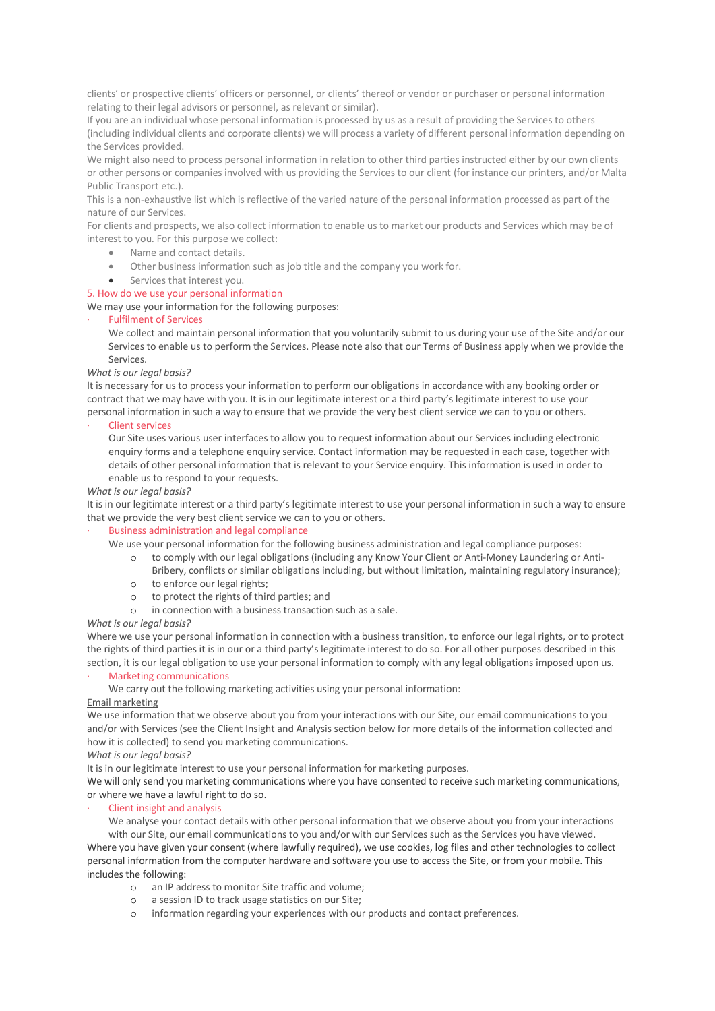clients' or prospective clients' officers or personnel, or clients' thereof or vendor or purchaser or personal information relating to their legal advisors or personnel, as relevant or similar).

If you are an individual whose personal information is processed by us as a result of providing the Services to others (including individual clients and corporate clients) we will process a variety of different personal information depending on the Services provided.

We might also need to process personal information in relation to other third parties instructed either by our own clients or other persons or companies involved with us providing the Services to our client (for instance our printers, and/or Malta Public Transport etc.).

This is a non-exhaustive list which is reflective of the varied nature of the personal information processed as part of the nature of our Services.

For clients and prospects, we also collect information to enable us to market our products and Services which may be of interest to you. For this purpose we collect:

- Name and contact details.
- Other business information such as job title and the company you work for.
- Services that interest you.

# 5. How do we use your personal information

We may use your information for the following purposes:

## · Fulfilment of Services

We collect and maintain personal information that you voluntarily submit to us during your use of the Site and/or our Services to enable us to perform the Services. Please note also that our Terms of Business apply when we provide the Services.

## *What is our legal basis?*

It is necessary for us to process your information to perform our obligations in accordance with any booking order or contract that we may have with you. It is in our legitimate interest or a third party's legitimate interest to use your personal information in such a way to ensure that we provide the very best client service we can to you or others.

## **Client services**

Our Site uses various user interfaces to allow you to request information about our Services including electronic enquiry forms and a telephone enquiry service. Contact information may be requested in each case, together with details of other personal information that is relevant to your Service enquiry. This information is used in order to enable us to respond to your requests.

## *What is our legal basis?*

It is in our legitimate interest or a third party's legitimate interest to use your personal information in such a way to ensure that we provide the very best client service we can to you or others.

#### · Business administration and legal compliance

We use your personal information for the following business administration and legal compliance purposes:

- o to comply with our legal obligations (including any Know Your Client or Anti-Money Laundering or Anti-
- Bribery, conflicts or similar obligations including, but without limitation, maintaining regulatory insurance); o to enforce our legal rights;
- o to protect the rights of third parties; and
- o in connection with a business transaction such as a sale.

#### *What is our legal basis?*

Where we use your personal information in connection with a business transition, to enforce our legal rights, or to protect the rights of third parties it is in our or a third party's legitimate interest to do so. For all other purposes described in this section, it is our legal obligation to use your personal information to comply with any legal obligations imposed upon us.

## Marketing communications

We carry out the following marketing activities using your personal information:

#### Email marketing

We use information that we observe about you from your interactions with our Site, our email communications to you and/or with Services (see the Client Insight and Analysis section below for more details of the information collected and how it is collected) to send you marketing communications.

## *What is our legal basis?*

It is in our legitimate interest to use your personal information for marketing purposes.

We will only send you marketing communications where you have consented to receive such marketing communications, or where we have a lawful right to do so.

## Client insight and analysis

We analyse your contact details with other personal information that we observe about you from your interactions with our Site, our email communications to you and/or with our Services such as the Services you have viewed. Where you have given your consent (where lawfully required), we use cookies, log files and other technologies to collect personal information from the computer hardware and software you use to access the Site, or from your mobile. This includes the following:

- o an IP address to monitor Site traffic and volume;
- o a session ID to track usage statistics on our Site;
- o information regarding your experiences with our products and contact preferences.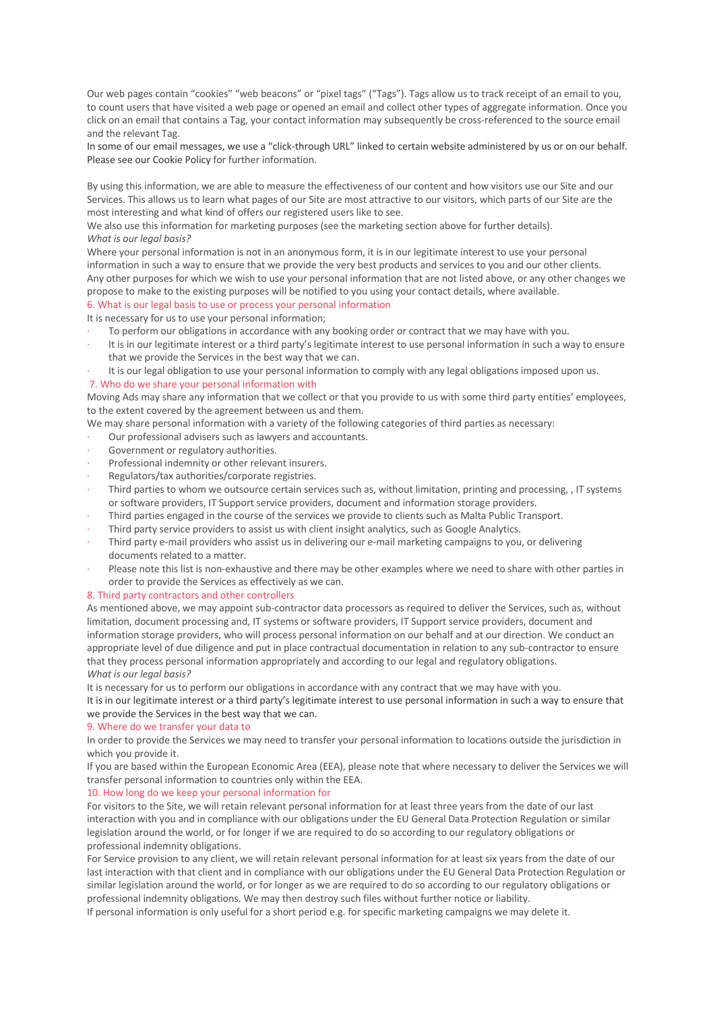Our web pages contain "cookies" "web beacons" or "pixel tags" ("Tags"). Tags allow us to track receipt of an email to you, to count users that have visited a web page or opened an email and collect other types of aggregate information. Once you click on an email that contains a Tag, your contact information may subsequently be cross-referenced to the source email and the relevant Tag.

In some of our email messages, we use a "click-through URL" linked to certain website administered by us or on our behalf. Please see our Cookie Policy for further information.

By using this information, we are able to measure the effectiveness of our content and how visitors use our Site and our Services. This allows us to learn what pages of our Site are most attractive to our visitors, which parts of our Site are the most interesting and what kind of offers our registered users like to see.

We also use this information for marketing purposes (see the marketing section above for further details). *What is our legal basis?*

Where your personal information is not in an anonymous form, it is in our legitimate interest to use your personal information in such a way to ensure that we provide the very best products and services to you and our other clients. Any other purposes for which we wish to use your personal information that are not listed above, or any other changes we propose to make to the existing purposes will be notified to you using your contact details, where available.

## 6. What is our legal basis to use or process your personal information

It is necessary for us to use your personal information;

- To perform our obligations in accordance with any booking order or contract that we may have with you.
- It is in our legitimate interest or a third party's legitimate interest to use personal information in such a way to ensure that we provide the Services in the best way that we can.
- It is our legal obligation to use your personal information to comply with any legal obligations imposed upon us. 7. Who do we share your personal information with

Moving Ads may share any information that we collect or that you provide to us with some third party entities' employees, to the extent covered by the agreement between us and them.

- We may share personal information with a variety of the following categories of third parties as necessary:
- Our professional advisers such as lawyers and accountants.
- Government or regulatory authorities.
- Professional indemnity or other relevant insurers.
- Regulators/tax authorities/corporate registries.
- Third parties to whom we outsource certain services such as, without limitation, printing and processing, , IT systems or software providers, IT Support service providers, document and information storage providers.
- · Third parties engaged in the course of the services we provide to clients such as Malta Public Transport.
- · Third party service providers to assist us with client insight analytics, such as Google Analytics.
- · Third party e-mail providers who assist us in delivering our e-mail marketing campaigns to you, or delivering documents related to a matter.
- Please note this list is non-exhaustive and there may be other examples where we need to share with other parties in order to provide the Services as effectively as we can.

#### 8. Third party contractors and other controllers

As mentioned above, we may appoint sub-contractor data processors as required to deliver the Services, such as, without limitation, document processing and, IT systems or software providers, IT Support service providers, document and information storage providers, who will process personal information on our behalf and at our direction. We conduct an appropriate level of due diligence and put in place contractual documentation in relation to any sub-contractor to ensure that they process personal information appropriately and according to our legal and regulatory obligations. *What is our legal basis?*

It is necessary for us to perform our obligations in accordance with any contract that we may have with you.

It is in our legitimate interest or a third party's legitimate interest to use personal information in such a way to ensure that we provide the Services in the best way that we can.

## 9. Where do we transfer your data to

In order to provide the Services we may need to transfer your personal information to locations outside the jurisdiction in which you provide it.

If you are based within the European Economic Area (EEA), please note that where necessary to deliver the Services we will transfer personal information to countries only within the EEA.

## 10. How long do we keep your personal information for

For visitors to the Site, we will retain relevant personal information for at least three years from the date of our last interaction with you and in compliance with our obligations under the EU General Data Protection Regulation or similar legislation around the world, or for longer if we are required to do so according to our regulatory obligations or professional indemnity obligations.

For Service provision to any client, we will retain relevant personal information for at least six years from the date of our last interaction with that client and in compliance with our obligations under the EU General Data Protection Regulation or similar legislation around the world, or for longer as we are required to do so according to our regulatory obligations or professional indemnity obligations. We may then destroy such files without further notice or liability.

If personal information is only useful for a short period e.g. for specific marketing campaigns we may delete it.